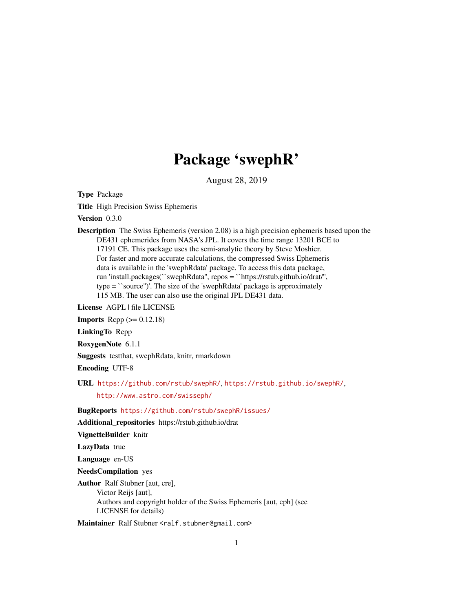# Package 'swephR'

August 28, 2019

Type Package

Title High Precision Swiss Ephemeris

Version 0.3.0

Description The Swiss Ephemeris (version 2.08) is a high precision ephemeris based upon the DE431 ephemerides from NASA's JPL. It covers the time range 13201 BCE to 17191 CE. This package uses the semi-analytic theory by Steve Moshier. For faster and more accurate calculations, the compressed Swiss Ephemeris data is available in the 'swephRdata' package. To access this data package, run 'install.packages(``swephRdata'', repos = ``https://rstub.github.io/drat/'', type = ``source'')'. The size of the 'swephRdata' package is approximately 115 MB. The user can also use the original JPL DE431 data.

License AGPL | file LICENSE

**Imports** Rcpp  $(>= 0.12.18)$ 

LinkingTo Rcpp

RoxygenNote 6.1.1

Suggests testthat, swephRdata, knitr, rmarkdown

Encoding UTF-8

URL <https://github.com/rstub/swephR/>, <https://rstub.github.io/swephR/>,

<http://www.astro.com/swisseph/>

BugReports <https://github.com/rstub/swephR/issues/>

Additional\_repositories https://rstub.github.io/drat

VignetteBuilder knitr

LazyData true

Language en-US

NeedsCompilation yes

Author Ralf Stubner [aut, cre], Victor Reijs [aut], Authors and copyright holder of the Swiss Ephemeris [aut, cph] (see LICENSE for details)

Maintainer Ralf Stubner <ralf.stubner@gmail.com>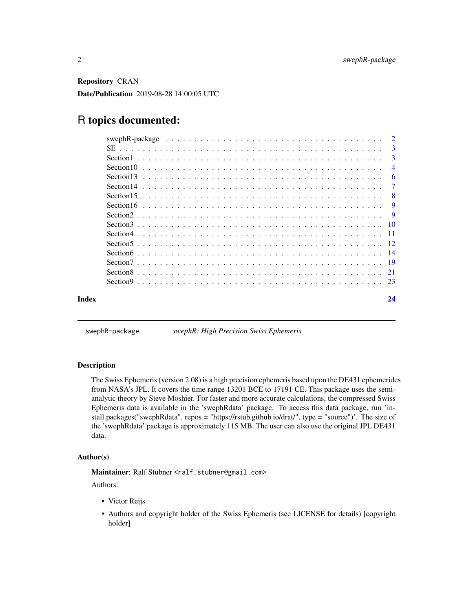<span id="page-1-0"></span>Repository CRAN Date/Publication 2019-08-28 14:00:05 UTC

## R topics documented:

|  | -7             |
|--|----------------|
|  | -6             |
|  | $\overline{4}$ |
|  | $\mathbf{3}$   |
|  | 3              |
|  |                |

swephR-package *swephR: High Precision Swiss Ephemeris*

#### Description

The Swiss Ephemeris (version 2.08) is a high precision ephemeris based upon the DE431 ephemerides from NASA's JPL. It covers the time range 13201 BCE to 17191 CE. This package uses the semianalytic theory by Steve Moshier. For faster and more accurate calculations, the compressed Swiss Ephemeris data is available in the 'swephRdata' package. To access this data package, run 'install.packages("swephRdata", repos = "https://rstub.github.io/drat/", type = "source")'. The size of the 'swephRdata' package is approximately 115 MB. The user can also use the original JPL DE431 data.

#### Author(s)

Maintainer: Ralf Stubner <ralf.stubner@gmail.com>

Authors:

- Victor Reijs
- Authors and copyright holder of the Swiss Ephemeris (see LICENSE for details) [copyright holder]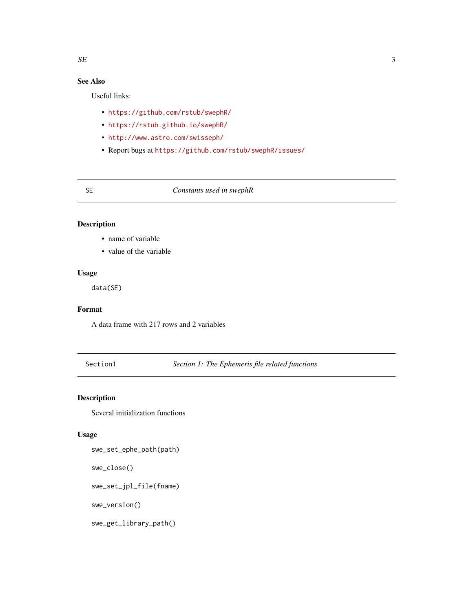## <span id="page-2-0"></span>See Also

Useful links:

- <https://github.com/rstub/swephR/>
- <https://rstub.github.io/swephR/>
- <http://www.astro.com/swisseph/>
- Report bugs at <https://github.com/rstub/swephR/issues/>

#### SE *Constants used in swephR*

#### Description

- name of variable
- value of the variable

#### Usage

data(SE)

#### Format

A data frame with 217 rows and 2 variables

Section1 *Section 1: The Ephemeris file related functions*

#### Description

Several initialization functions

#### Usage

```
swe_set_ephe_path(path)
swe_close()
swe_set_jpl_file(fname)
swe_version()
```
swe\_get\_library\_path()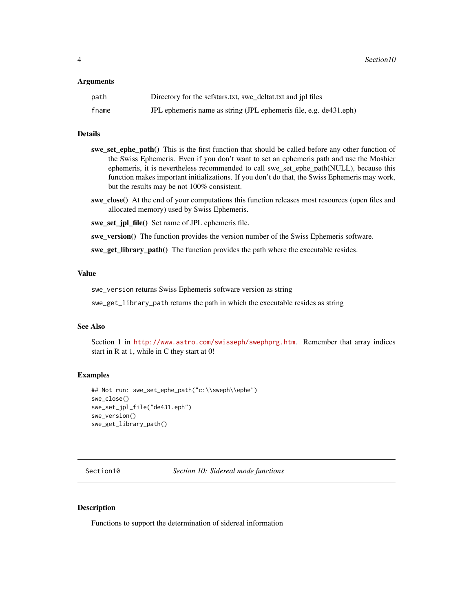#### <span id="page-3-0"></span>Arguments

| path  | Directory for the sefstars.txt, swe_deltat.txt and jpl files      |
|-------|-------------------------------------------------------------------|
| fname | JPL ephemeris name as string (JPL ephemeris file, e.g. de431.eph) |

#### Details

- swe\_set\_ephe\_path() This is the first function that should be called before any other function of the Swiss Ephemeris. Even if you don't want to set an ephemeris path and use the Moshier ephemeris, it is nevertheless recommended to call swe\_set\_ephe\_path(NULL), because this function makes important initializations. If you don't do that, the Swiss Ephemeris may work, but the results may be not 100% consistent.
- swe\_close() At the end of your computations this function releases most resources (open files and allocated memory) used by Swiss Ephemeris.

swe\_set\_jpl\_file() Set name of JPL ephemeris file.

swe\_version() The function provides the version number of the Swiss Ephemeris software.

swe\_get\_library\_path() The function provides the path where the executable resides.

#### Value

swe\_version returns Swiss Ephemeris software version as string

swe\_get\_library\_path returns the path in which the executable resides as string

#### See Also

Section 1 in <http://www.astro.com/swisseph/swephprg.htm>. Remember that array indices start in R at 1, while in C they start at 0!

#### Examples

```
## Not run: swe_set_ephe_path("c:\\sweph\\ephe")
swe_close()
swe_set_jpl_file("de431.eph")
swe_version()
swe_get_library_path()
```
Section10 *Section 10: Sidereal mode functions*

#### Description

Functions to support the determination of sidereal information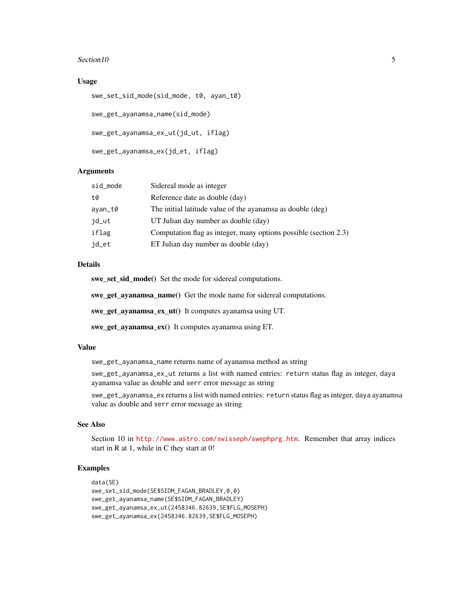#### $Section 10$  5

#### Usage

```
swe_set_sid_mode(sid_mode, t0, ayan_t0)
swe_get_ayanamsa_name(sid_mode)
swe_get_ayanamsa_ex_ut(jd_ut, iflag)
swe_get_ayanamsa_ex(jd_et, iflag)
```
#### Arguments

| sid_mode | Sidereal mode as integer                                         |
|----------|------------------------------------------------------------------|
| t0       | Reference date as double (day)                                   |
| ayan_t0  | The initial latitude value of the ayanamsa as double (deg)       |
| jd_ut    | UT Julian day number as double (day)                             |
| iflag    | Computation flag as integer, many options possible (section 2.3) |
| jd_et    | ET Julian day number as double (day)                             |

#### Details

swe\_set\_sid\_mode() Set the mode for sidereal computations.

swe\_get\_ayanamsa\_name() Get the mode name for sidereal computations.

swe\_get\_ayanamsa\_ex\_ut() It computes ayanamsa using UT.

swe\_get\_ayanamsa\_ex() It computes ayanamsa using ET.

#### Value

swe\_get\_ayanamsa\_name returns name of ayanamsa method as string

swe\_get\_ayanamsa\_ex\_ut returns a list with named entries: return status flag as integer, daya ayanamsa value as double and serr error message as string

swe\_get\_ayanamsa\_ex returns a list with named entries: return status flag as integer, daya ayanamsa value as double and serr error message as string

#### See Also

Section 10 in <http://www.astro.com/swisseph/swephprg.htm>. Remember that array indices start in R at 1, while in C they start at 0!

#### Examples

```
data(SE)
swe_set_sid_mode(SE$SIDM_FAGAN_BRADLEY,0,0)
swe_get_ayanamsa_name(SE$SIDM_FAGAN_BRADLEY)
swe_get_ayanamsa_ex_ut(2458346.82639,SE$FLG_MOSEPH)
swe_get_ayanamsa_ex(2458346.82639,SE$FLG_MOSEPH)
```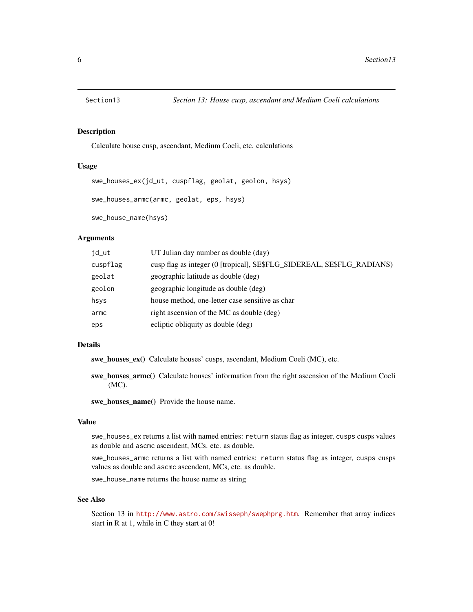<span id="page-5-0"></span>

#### Description

Calculate house cusp, ascendant, Medium Coeli, etc. calculations

#### Usage

```
swe_houses_ex(jd_ut, cuspflag, geolat, geolon, hsys)
swe_houses_armc(armc, geolat, eps, hsys)
```
swe\_house\_name(hsys)

#### Arguments

| jd_ut    | UT Julian day number as double (day)                                   |
|----------|------------------------------------------------------------------------|
| cuspflag | cusp flag as integer (0 [tropical], SE\$FLG_SIDEREAL, SE\$FLG_RADIANS) |
| geolat   | geographic latitude as double (deg)                                    |
| geolon   | geographic longitude as double (deg)                                   |
| hsys     | house method, one-letter case sensitive as char                        |
| armc     | right ascension of the MC as double (deg)                              |
| eps      | ecliptic obliquity as double (deg)                                     |

#### Details

swe\_houses\_ex() Calculate houses' cusps, ascendant, Medium Coeli (MC), etc.

swe\_houses\_armc() Calculate houses' information from the right ascension of the Medium Coeli (MC).

swe\_houses\_name() Provide the house name.

#### Value

swe\_houses\_ex returns a list with named entries: return status flag as integer, cusps cusps values as double and ascmc ascendent, MCs. etc. as double.

swe\_houses\_armc returns a list with named entries: return status flag as integer, cusps cusps values as double and ascmc ascendent, MCs, etc. as double.

swe\_house\_name returns the house name as string

#### See Also

Section 13 in <http://www.astro.com/swisseph/swephprg.htm>. Remember that array indices start in R at 1, while in C they start at 0!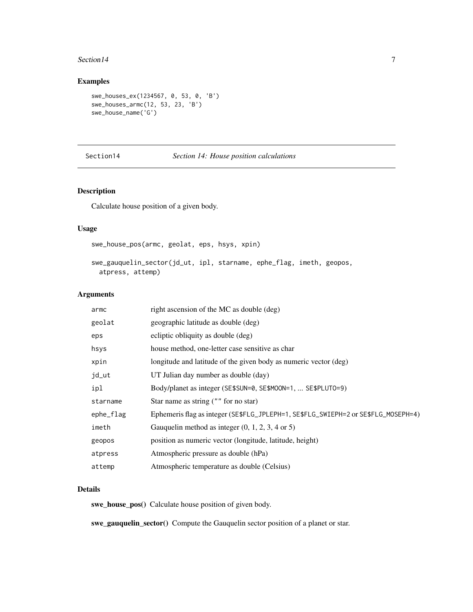#### <span id="page-6-0"></span>Section 14 7

#### Examples

```
swe_houses_ex(1234567, 0, 53, 0, 'B')
swe_houses_armc(12, 53, 23, 'B')
swe_house_name('G')
```
#### Section14 *Section 14: House position calculations*

### Description

Calculate house position of a given body.

#### Usage

swe\_house\_pos(armc, geolat, eps, hsys, xpin)

swe\_gauquelin\_sector(jd\_ut, ipl, starname, ephe\_flag, imeth, geopos, atpress, attemp)

#### Arguments

| armc      | right ascension of the MC as double (deg)                                          |
|-----------|------------------------------------------------------------------------------------|
| geolat    | geographic latitude as double (deg)                                                |
| eps       | ecliptic obliquity as double (deg)                                                 |
| hsys      | house method, one-letter case sensitive as char                                    |
| xpin      | longitude and latitude of the given body as numeric vector (deg)                   |
| jd_ut     | UT Julian day number as double (day)                                               |
| ipl       | Body/planet as integer (SE\$SUN=0, SE\$MOON=1,  SE\$PLUT0=9)                       |
| starname  | Star name as string ("" for no star)                                               |
| ephe_flag | Ephemeris flag as integer (SE\$FLG_JPLEPH=1, SE\$FLG_SWIEPH=2 or SE\$FLG_MOSEPH=4) |
| imeth     | Gauquelin method as integer $(0, 1, 2, 3, 4 \text{ or } 5)$                        |
| geopos    | position as numeric vector (longitude, latitude, height)                           |
| atpress   | Atmospheric pressure as double (hPa)                                               |
| attemp    | Atmospheric temperature as double (Celsius)                                        |

### Details

swe\_house\_pos() Calculate house position of given body.

swe\_gauquelin\_sector() Compute the Gauquelin sector position of a planet or star.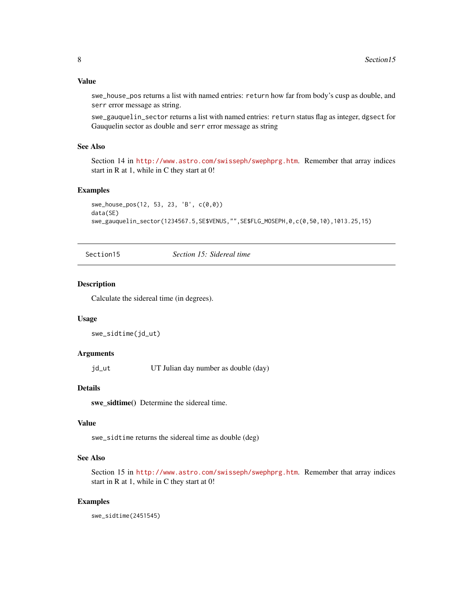#### <span id="page-7-0"></span>Value

swe\_house\_pos returns a list with named entries: return how far from body's cusp as double, and serr error message as string.

swe\_gauquelin\_sector returns a list with named entries: return status flag as integer, dgsect for Gauquelin sector as double and serr error message as string

#### See Also

Section 14 in <http://www.astro.com/swisseph/swephprg.htm>. Remember that array indices start in R at 1, while in C they start at 0!

#### Examples

```
swe_house_pos(12, 53, 23, 'B', c(0,0))
data(SE)
swe_gauquelin_sector(1234567.5,SE$VENUS,"",SE$FLG_MOSEPH,0,c(0,50,10),1013.25,15)
```
Section15 *Section 15: Sidereal time*

#### Description

Calculate the sidereal time (in degrees).

#### Usage

```
swe_sidtime(jd_ut)
```
#### Arguments

jd\_ut UT Julian day number as double (day)

#### Details

swe\_sidtime() Determine the sidereal time.

#### Value

swe\_sidtime returns the sidereal time as double (deg)

#### See Also

Section 15 in <http://www.astro.com/swisseph/swephprg.htm>. Remember that array indices start in R at 1, while in C they start at 0!

#### Examples

swe\_sidtime(2451545)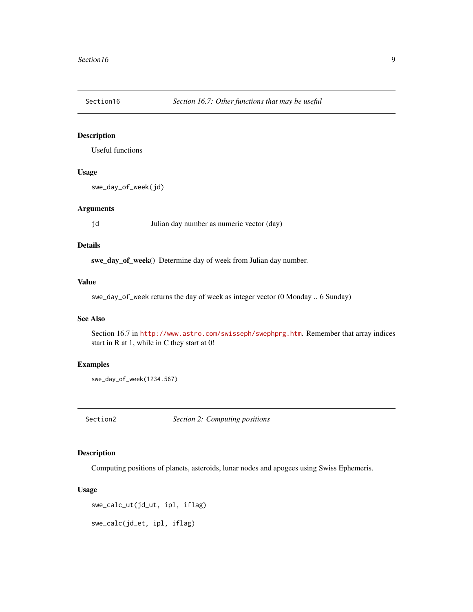<span id="page-8-0"></span>

#### Description

Useful functions

#### Usage

swe\_day\_of\_week(jd)

#### Arguments

jd Julian day number as numeric vector (day)

#### Details

swe\_day\_of\_week() Determine day of week from Julian day number.

#### Value

swe\_day\_of\_week returns the day of week as integer vector (0 Monday .. 6 Sunday)

#### See Also

Section 16.7 in <http://www.astro.com/swisseph/swephprg.htm>. Remember that array indices start in R at 1, while in C they start at 0!

#### Examples

swe\_day\_of\_week(1234.567)

Section2 *Section 2: Computing positions*

#### Description

Computing positions of planets, asteroids, lunar nodes and apogees using Swiss Ephemeris.

#### Usage

```
swe_calc_ut(jd_ut, ipl, iflag)
```
swe\_calc(jd\_et, ipl, iflag)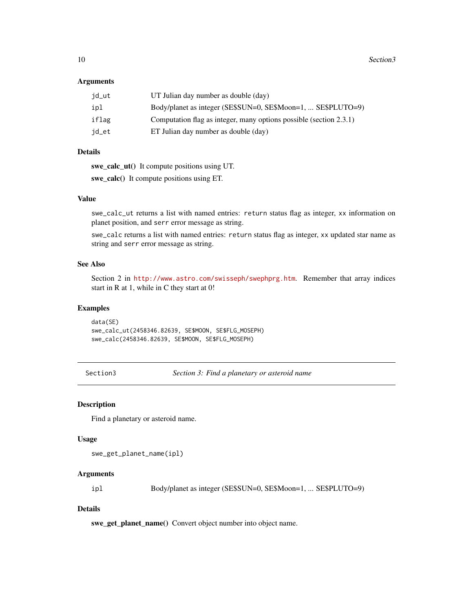#### <span id="page-9-0"></span>**Arguments**

| jd_ut | UT Julian day number as double (day)                               |
|-------|--------------------------------------------------------------------|
| ipl   | Body/planet as integer (SE\$SUN=0, SE\$Moon=1,  SE\$PLUTO=9)       |
| iflag | Computation flag as integer, many options possible (section 2.3.1) |
| jd_et | ET Julian day number as double (day)                               |

#### Details

swe\_calc\_ut() It compute positions using UT.

swe\_calc() It compute positions using ET.

#### Value

swe\_calc\_ut returns a list with named entries: return status flag as integer, xx information on planet position, and serr error message as string.

swe\_calc returns a list with named entries: return status flag as integer, xx updated star name as string and serr error message as string.

#### See Also

Section 2 in <http://www.astro.com/swisseph/swephprg.htm>. Remember that array indices start in R at 1, while in C they start at 0!

#### Examples

data(SE) swe\_calc\_ut(2458346.82639, SE\$MOON, SE\$FLG\_MOSEPH) swe\_calc(2458346.82639, SE\$MOON, SE\$FLG\_MOSEPH)

Section3 *Section 3: Find a planetary or asteroid name*

#### Description

Find a planetary or asteroid name.

#### Usage

swe\_get\_planet\_name(ipl)

#### Arguments

ipl Body/planet as integer (SE\$SUN=0, SE\$Moon=1, ... SE\$PLUTO=9)

#### Details

swe\_get\_planet\_name() Convert object number into object name.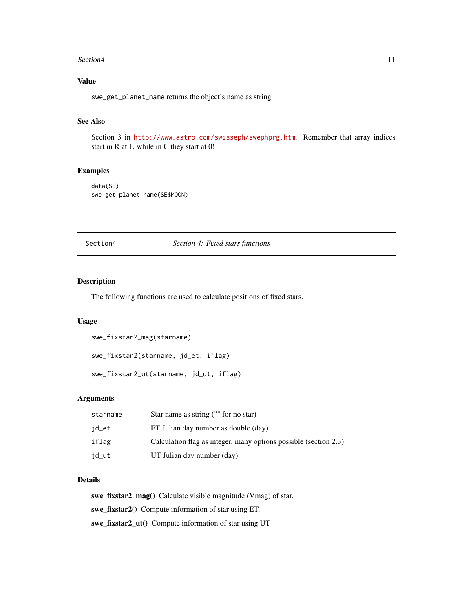#### <span id="page-10-0"></span>Section 4 11

### Value

swe\_get\_planet\_name returns the object's name as string

#### See Also

Section 3 in <http://www.astro.com/swisseph/swephprg.htm>. Remember that array indices start in R at 1, while in C they start at 0!

#### Examples

data(SE) swe\_get\_planet\_name(SE\$MOON)

Section4 *Section 4: Fixed stars functions*

#### Description

The following functions are used to calculate positions of fixed stars.

#### Usage

```
swe_fixstar2_mag(starname)
swe_fixstar2(starname, jd_et, iflag)
swe_fixstar2_ut(starname, jd_ut, iflag)
```
#### Arguments

| starname | Star name as string ("" for no star)                             |
|----------|------------------------------------------------------------------|
| jd_et    | ET Julian day number as double (day)                             |
| iflag    | Calculation flag as integer, many options possible (section 2.3) |
| jd_ut    | UT Julian day number (day)                                       |

#### Details

swe\_fixstar2\_mag() Calculate visible magnitude (Vmag) of star. swe\_fixstar2() Compute information of star using ET. swe\_fixstar2\_ut() Compute information of star using UT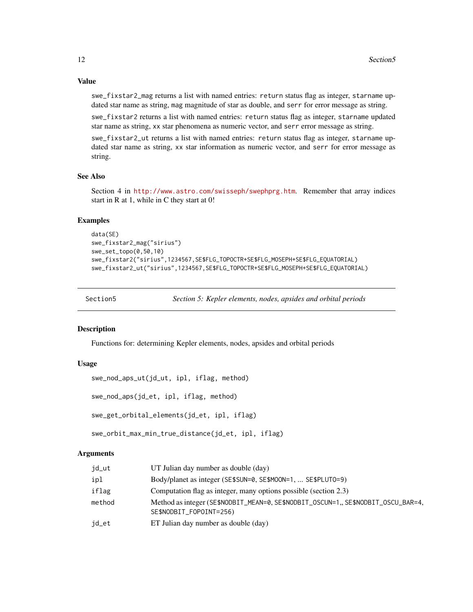Value

swe\_fixstar2\_mag returns a list with named entries: return status flag as integer, starname updated star name as string, mag magnitude of star as double, and serr for error message as string.

swe\_fixstar2 returns a list with named entries: return status flag as integer, starname updated star name as string, xx star phenomena as numeric vector, and serr error message as string.

swe\_fixstar2\_ut returns a list with named entries: return status flag as integer, starname updated star name as string, xx star information as numeric vector, and serr for error message as string.

#### See Also

Section 4 in <http://www.astro.com/swisseph/swephprg.htm>. Remember that array indices start in R at 1, while in C they start at 0!

#### Examples

```
data(SE)
swe_fixstar2_mag("sirius")
swe_set_topo(0,50,10)
swe_fixstar2("sirius",1234567,SE$FLG_TOPOCTR+SE$FLG_MOSEPH+SE$FLG_EQUATORIAL)
swe_fixstar2_ut("sirius",1234567,SE$FLG_TOPOCTR+SE$FLG_MOSEPH+SE$FLG_EQUATORIAL)
```
Section5 *Section 5: Kepler elements, nodes, apsides and orbital periods*

#### Description

Functions for: determining Kepler elements, nodes, apsides and orbital periods

#### Usage

```
swe_nod_aps_ut(jd_ut, ipl, iflag, method)
```

```
swe_nod_aps(jd_et, ipl, iflag, method)
```

```
swe_get_orbital_elements(jd_et, ipl, iflag)
```
swe\_orbit\_max\_min\_true\_distance(jd\_et, ipl, iflag)

#### Arguments

| jd_ut  | UT Julian day number as double (day)                                                                         |
|--------|--------------------------------------------------------------------------------------------------------------|
| ipl    | Body/planet as integer (SE\$SUN=0, SE\$MOON=1,  SE\$PLUTO=9)                                                 |
| iflag  | Computation flag as integer, many options possible (section 2.3)                                             |
| method | Method as integer (SE\$NODBIT_MEAN=0, SE\$NODBIT_OSCUN=1,, SE\$NODBIT_OSCU_BAR=4,<br>SE\$NODBIT_FOPOINT=256) |
| jd_et  | ET Julian day number as double (day)                                                                         |

<span id="page-11-0"></span>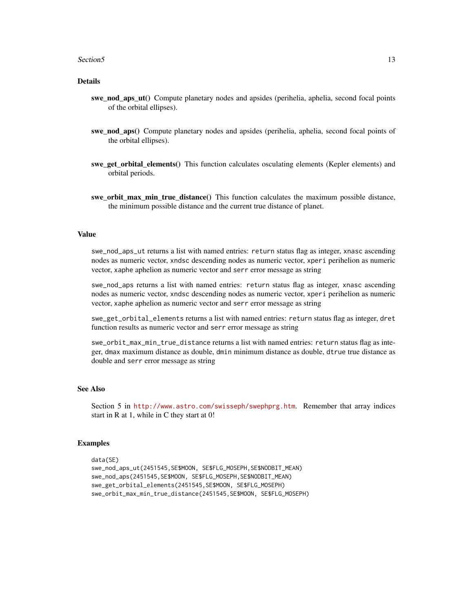#### Section5 13

#### Details

- swe\_nod\_aps\_ut() Compute planetary nodes and apsides (perihelia, aphelia, second focal points of the orbital ellipses).
- swe\_nod\_aps() Compute planetary nodes and apsides (perihelia, aphelia, second focal points of the orbital ellipses).
- swe\_get\_orbital\_elements() This function calculates osculating elements (Kepler elements) and orbital periods.
- swe orbit max min true distance() This function calculates the maximum possible distance, the minimum possible distance and the current true distance of planet.

#### Value

swe\_nod\_aps\_ut returns a list with named entries: return status flag as integer, xnasc ascending nodes as numeric vector, xndsc descending nodes as numeric vector, xperi perihelion as numeric vector, xaphe aphelion as numeric vector and serr error message as string

swe\_nod\_aps returns a list with named entries: return status flag as integer, xnasc ascending nodes as numeric vector, xndsc descending nodes as numeric vector, xperi perihelion as numeric vector, xaphe aphelion as numeric vector and serr error message as string

swe\_get\_orbital\_elements returns a list with named entries: return status flag as integer, dret function results as numeric vector and serr error message as string

swe\_orbit\_max\_min\_true\_distance returns a list with named entries: return status flag as integer, dmax maximum distance as double, dmin minimum distance as double, dtrue true distance as double and serr error message as string

#### See Also

Section 5 in <http://www.astro.com/swisseph/swephprg.htm>. Remember that array indices start in R at 1, while in C they start at 0!

#### Examples

```
data(SE)
swe_nod_aps_ut(2451545,SE$MOON, SE$FLG_MOSEPH,SE$NODBIT_MEAN)
swe_nod_aps(2451545,SE$MOON, SE$FLG_MOSEPH,SE$NODBIT_MEAN)
swe_get_orbital_elements(2451545,SE$MOON, SE$FLG_MOSEPH)
swe_orbit_max_min_true_distance(2451545,SE$MOON, SE$FLG_MOSEPH)
```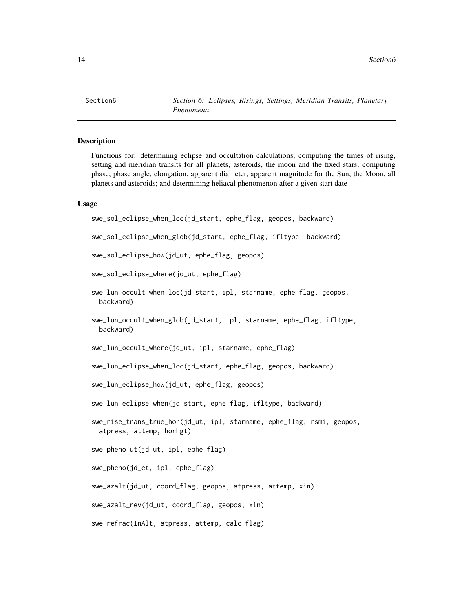<span id="page-13-0"></span>Section6 *Section 6: Eclipses, Risings, Settings, Meridian Transits, Planetary Phenomena*

#### Description

Functions for: determining eclipse and occultation calculations, computing the times of rising, setting and meridian transits for all planets, asteroids, the moon and the fixed stars; computing phase, phase angle, elongation, apparent diameter, apparent magnitude for the Sun, the Moon, all planets and asteroids; and determining heliacal phenomenon after a given start date

#### Usage

```
swe_sol_eclipse_when_loc(jd_start, ephe_flag, geopos, backward)
swe_sol_eclipse_when_glob(jd_start, ephe_flag, ifltype, backward)
swe_sol_eclipse_how(jd_ut, ephe_flag, geopos)
swe_sol_eclipse_where(jd_ut, ephe_flag)
swe_lun_occult_when_loc(jd_start, ipl, starname, ephe_flag, geopos,
 backward)
swe_lun_occult_when_glob(jd_start, ipl, starname, ephe_flag, ifltype,
 backward)
swe_lun_occult_where(jd_ut, ipl, starname, ephe_flag)
swe_lun_eclipse_when_loc(jd_start, ephe_flag, geopos, backward)
swe_lun_eclipse_how(jd_ut, ephe_flag, geopos)
swe_lun_eclipse_when(jd_start, ephe_flag, ifltype, backward)
swe_rise_trans_true_hor(jd_ut, ipl, starname, ephe_flag, rsmi, geopos,
 atpress, attemp, horhgt)
swe_pheno_ut(jd_ut, ipl, ephe_flag)
swe_pheno(jd_et, ipl, ephe_flag)
swe_azalt(jd_ut, coord_flag, geopos, atpress, attemp, xin)
swe_azalt_rev(jd_ut, coord_flag, geopos, xin)
swe_refrac(InAlt, atpress, attemp, calc_flag)
```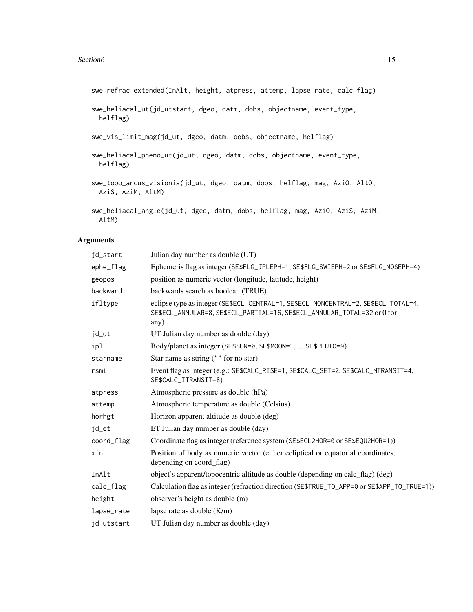swe\_refrac\_extended(InAlt, height, atpress, attemp, lapse\_rate, calc\_flag)

```
swe_heliacal_ut(jd_utstart, dgeo, datm, dobs, objectname, event_type,
 helflag)
```
swe\_vis\_limit\_mag(jd\_ut, dgeo, datm, dobs, objectname, helflag)

```
swe_heliacal_pheno_ut(jd_ut, dgeo, datm, dobs, objectname, event_type,
 helflag)
```

```
swe_topo_arcus_visionis(jd_ut, dgeo, datm, dobs, helflag, mag, AziO, AltO,
 AziS, AziM, AltM)
```

```
swe_heliacal_angle(jd_ut, dgeo, datm, dobs, helflag, mag, AziO, AziS, AziM,
 AltM)
```
#### Arguments

| jd_start   | Julian day number as double (UT)                                                                                                                                       |
|------------|------------------------------------------------------------------------------------------------------------------------------------------------------------------------|
| ephe_flag  | Ephemeris flag as integer (SE\$FLG_JPLEPH=1, SE\$FLG_SWIEPH=2 or SE\$FLG_MOSEPH=4)                                                                                     |
| geopos     | position as numeric vector (longitude, latitude, height)                                                                                                               |
| backward   | backwards search as boolean (TRUE)                                                                                                                                     |
| ifltype    | eclipse type as integer (SE\$ECL_CENTRAL=1, SE\$ECL_NONCENTRAL=2, SE\$ECL_TOTAL=4,<br>SE\$ECL_ANNULAR=8, SE\$ECL_PARTIAL=16, SE\$ECL_ANNULAR_TOTAL=32 or 0 for<br>any) |
| jd_ut      | UT Julian day number as double (day)                                                                                                                                   |
| ipl        | Body/planet as integer (SE\$SUN=0, SE\$MOON=1,  SE\$PLUT0=9)                                                                                                           |
| starname   | Star name as string $(""$ for no star)                                                                                                                                 |
| rsmi       | Event flag as integer (e.g.: SE\$CALC_RISE=1, SE\$CALC_SET=2, SE\$CALC_MTRANSIT=4,<br>SE\$CALC_ITRANSIT=8)                                                             |
| atpress    | Atmospheric pressure as double (hPa)                                                                                                                                   |
| attemp     | Atmospheric temperature as double (Celsius)                                                                                                                            |
| horhgt     | Horizon apparent altitude as double (deg)                                                                                                                              |
| jd_et      | ET Julian day number as double (day)                                                                                                                                   |
| coord_flag | Coordinate flag as integer (reference system (SE\$ECL2HOR=0 or SE\$EQU2HOR=1))                                                                                         |
| xin        | Position of body as numeric vector (either ecliptical or equatorial coordinates,<br>depending on coord_flag)                                                           |
| InAlt      | object's apparent/topocentric altitude as double (depending on calc_flag) (deg)                                                                                        |
| calc_flag  | Calculation flag as integer (refraction direction (SE\$TRUE_TO_APP=0 or SE\$APP_TO_TRUE=1))                                                                            |
| height     | observer's height as double (m)                                                                                                                                        |
| lapse_rate | lapse rate as double $(K/m)$                                                                                                                                           |
| jd_utstart | UT Julian day number as double (day)                                                                                                                                   |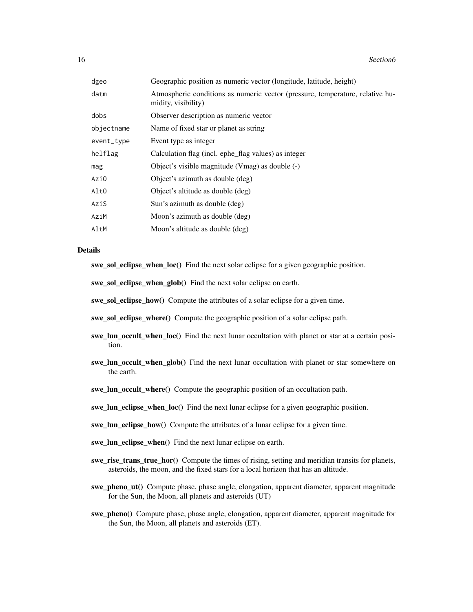16 Section6

| dgeo       | Geographic position as numeric vector (longitude, latitude, height)                                  |
|------------|------------------------------------------------------------------------------------------------------|
| datm       | Atmospheric conditions as numeric vector (pressure, temperature, relative hu-<br>midity, visibility) |
| dobs       | Observer description as numeric vector                                                               |
| objectname | Name of fixed star or planet as string                                                               |
| event_type | Event type as integer                                                                                |
| helflag    | Calculation flag (incl. ephe_flag values) as integer                                                 |
| mag        | Object's visible magnitude (Vmag) as double (-)                                                      |
| Azi0       | Object's azimuth as double (deg)                                                                     |
| AltO       | Object's altitude as double (deg)                                                                    |
| AziS       | Sun's azimuth as double (deg)                                                                        |
| AziM       | Moon's azimuth as double (deg)                                                                       |
| AltM       | Moon's altitude as double (deg)                                                                      |
|            |                                                                                                      |

#### Details

swe\_sol\_eclipse\_when\_loc() Find the next solar eclipse for a given geographic position.

swe\_sol\_eclipse\_when\_glob() Find the next solar eclipse on earth.

swe\_sol\_eclipse\_how() Compute the attributes of a solar eclipse for a given time.

swe\_sol\_eclipse\_where() Compute the geographic position of a solar eclipse path.

- swe\_lun\_occult\_when\_loc() Find the next lunar occultation with planet or star at a certain position.
- swe lun occult when glob() Find the next lunar occultation with planet or star somewhere on the earth.
- swe\_lun\_occult\_where() Compute the geographic position of an occultation path.

swe\_lun\_eclipse\_when\_loc() Find the next lunar eclipse for a given geographic position.

swe\_lun\_eclipse\_how() Compute the attributes of a lunar eclipse for a given time.

- swe\_lun\_eclipse\_when() Find the next lunar eclipse on earth.
- swe\_rise\_trans\_true\_hor() Compute the times of rising, setting and meridian transits for planets, asteroids, the moon, and the fixed stars for a local horizon that has an altitude.
- swe\_pheno\_ut() Compute phase, phase angle, elongation, apparent diameter, apparent magnitude for the Sun, the Moon, all planets and asteroids (UT)
- swe\_pheno() Compute phase, phase angle, elongation, apparent diameter, apparent magnitude for the Sun, the Moon, all planets and asteroids (ET).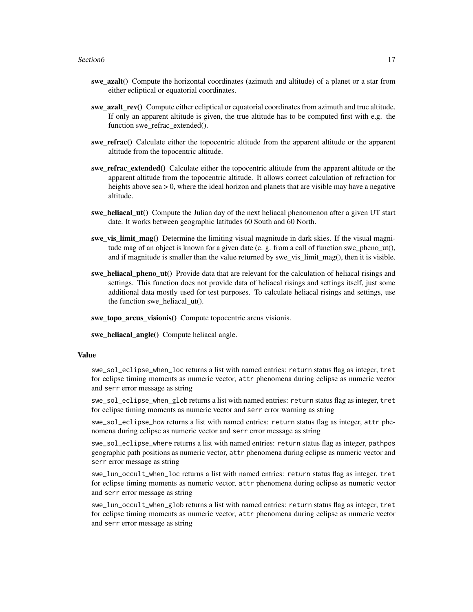#### Section6 17

- swe\_azalt() Compute the horizontal coordinates (azimuth and altitude) of a planet or a star from either ecliptical or equatorial coordinates.
- swe  $azaltrev()$  Compute either ecliptical or equatorial coordinates from azimuth and true altitude. If only an apparent altitude is given, the true altitude has to be computed first with e.g. the function swe\_refrac\_extended().
- swe refrac() Calculate either the topocentric altitude from the apparent altitude or the apparent altitude from the topocentric altitude.
- swe\_refrac\_extended() Calculate either the topocentric altitude from the apparent altitude or the apparent altitude from the topocentric altitude. It allows correct calculation of refraction for heights above  $sea > 0$ , where the ideal horizon and planets that are visible may have a negative altitude.
- swe\_heliacal\_ut() Compute the Julian day of the next heliacal phenomenon after a given UT start date. It works between geographic latitudes 60 South and 60 North.
- swe\_vis\_limit\_mag() Determine the limiting visual magnitude in dark skies. If the visual magnitude mag of an object is known for a given date (e. g. from a call of function swe\_pheno\_ut(), and if magnitude is smaller than the value returned by swe vis  $\lim$ it  $\text{mag}($ ), then it is visible.
- swe\_heliacal\_pheno\_ut() Provide data that are relevant for the calculation of heliacal risings and settings. This function does not provide data of heliacal risings and settings itself, just some additional data mostly used for test purposes. To calculate heliacal risings and settings, use the function swe\_heliacal\_ut().

swe\_topo\_arcus\_visionis() Compute topocentric arcus visionis.

swe\_heliacal\_angle() Compute heliacal angle.

#### Value

swe\_sol\_eclipse\_when\_loc returns a list with named entries: return status flag as integer, tret for eclipse timing moments as numeric vector, attr phenomena during eclipse as numeric vector and serr error message as string

swe\_sol\_eclipse\_when\_glob returns a list with named entries: return status flag as integer, tret for eclipse timing moments as numeric vector and serr error warning as string

swe\_sol\_eclipse\_how returns a list with named entries: return status flag as integer, attr phenomena during eclipse as numeric vector and serr error message as string

swe\_sol\_eclipse\_where returns a list with named entries: return status flag as integer, pathpos geographic path positions as numeric vector, attr phenomena during eclipse as numeric vector and serr error message as string

swe\_lun\_occult\_when\_loc returns a list with named entries: return status flag as integer, tret for eclipse timing moments as numeric vector, attr phenomena during eclipse as numeric vector and serr error message as string

swe\_lun\_occult\_when\_glob returns a list with named entries: return status flag as integer, tret for eclipse timing moments as numeric vector, attr phenomena during eclipse as numeric vector and serr error message as string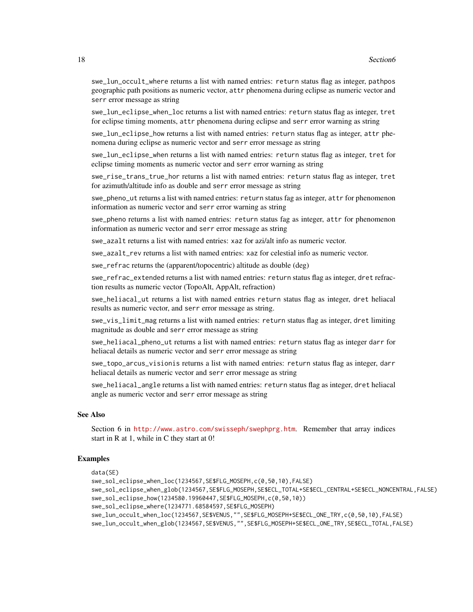swe\_lun\_occult\_where returns a list with named entries: return status flag as integer, pathpos geographic path positions as numeric vector, attr phenomena during eclipse as numeric vector and serr error message as string

swe\_lun\_eclipse\_when\_loc returns a list with named entries: return status flag as integer, tret for eclipse timing moments, attr phenomena during eclipse and serr error warning as string

swe\_lun\_eclipse\_how returns a list with named entries: return status flag as integer, attr phenomena during eclipse as numeric vector and serr error message as string

swe\_lun\_eclipse\_when returns a list with named entries: return status flag as integer, tret for eclipse timing moments as numeric vector and serr error warning as string

swe\_rise\_trans\_true\_hor returns a list with named entries: return status flag as integer, tret for azimuth/altitude info as double and serr error message as string

swe\_pheno\_ut returns a list with named entries: return status fag as integer, attr for phenomenon information as numeric vector and serr error warning as string

swe\_pheno returns a list with named entries: return status fag as integer, attr for phenomenon information as numeric vector and serr error message as string

swe\_azalt returns a list with named entries: xaz for azi/alt info as numeric vector.

swe azalt rev returns a list with named entries: xaz for celestial info as numeric vector.

swe\_refrac returns the (apparent/topocentric) altitude as double (deg)

swe\_refrac\_extended returns a list with named entries: return status flag as integer, dret refraction results as numeric vector (TopoAlt, AppAlt, refraction)

swe\_heliacal\_ut returns a list with named entries return status flag as integer, dret heliacal results as numeric vector, and serr error message as string.

swe\_vis\_limit\_mag returns a list with named entries: return status flag as integer, dret limiting magnitude as double and serr error message as string

swe\_heliacal\_pheno\_ut returns a list with named entries: return status flag as integer darr for heliacal details as numeric vector and serr error message as string

swe\_topo\_arcus\_visionis returns a list with named entries: return status flag as integer, darr heliacal details as numeric vector and serr error message as string

swe\_heliacal\_angle returns a list with named entries: return status flag as integer, dret heliacal angle as numeric vector and serr error message as string

#### See Also

Section 6 in <http://www.astro.com/swisseph/swephprg.htm>. Remember that array indices start in R at 1, while in C they start at 0!

#### Examples

```
data(SE)
swe_sol_eclipse_when_loc(1234567,SE$FLG_MOSEPH,c(0,50,10),FALSE)
swe_sol_eclipse_when_glob(1234567,SE$FLG_MOSEPH,SE$ECL_TOTAL+SE$ECL_CENTRAL+SE$ECL_NONCENTRAL,FALSE)
swe_sol_eclipse_how(1234580.19960447,SE$FLG_MOSEPH,c(0,50,10))
swe_sol_eclipse_where(1234771.68584597,SE$FLG_MOSEPH)
swe_lun_occult_when_loc(1234567,SE$VENUS,"",SE$FLG_MOSEPH+SE$ECL_ONE_TRY,c(0,50,10),FALSE)
swe_lun_occult_when_glob(1234567,SE$VENUS,"",SE$FLG_MOSEPH+SE$ECL_ONE_TRY,SE$ECL_TOTAL,FALSE)
```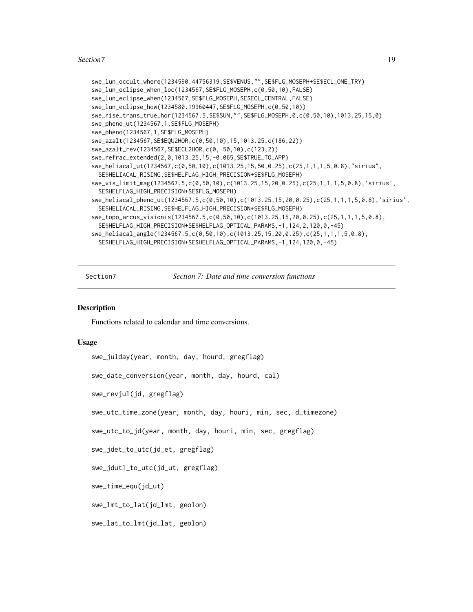#### <span id="page-18-0"></span>Section7 19

```
swe_lun_occult_where(1234590.44756319,SE$VENUS,"",SE$FLG_MOSEPH+SE$ECL_ONE_TRY)
swe_lun_eclipse_when_loc(1234567,SE$FLG_MOSEPH,c(0,50,10),FALSE)
swe_lun_eclipse_when(1234567,SE$FLG_MOSEPH,SE$ECL_CENTRAL,FALSE)
swe_lun_eclipse_how(1234580.19960447,SE$FLG_MOSEPH,c(0,50,10))
swe_rise_trans_true_hor(1234567.5,SE$SUN,"",SE$FLG_MOSEPH,0,c(0,50,10),1013.25,15,0)
swe_pheno_ut(1234567,1,SE$FLG_MOSEPH)
swe_pheno(1234567,1,SE$FLG_MOSEPH)
swe_azalt(1234567,SE$EQU2HOR,c(0,50,10),15,1013.25,c(186,22))
swe_azalt_rev(1234567,SE$ECL2HOR,c(0, 50,10),c(123,2))
swe_refrac_extended(2,0,1013.25,15,-0.065,SE$TRUE_TO_APP)
swe_heliacal_ut(1234567,c(0,50,10),c(1013.25,15,50,0.25),c(25,1,1,1,5,0.8),"sirius",
 SE$HELIACAL_RISING,SE$HELFLAG_HIGH_PRECISION+SE$FLG_MOSEPH)
swe_vis_limit_mag(1234567.5,c(0,50,10),c(1013.25,15,20,0.25),c(25,1,1,1,5,0.8),'sirius',
 SE$HELFLAG_HIGH_PRECISION+SE$FLG_MOSEPH)
swe_heliacal_pheno_ut(1234567.5,c(0,50,10),c(1013.25,15,20,0.25),c(25,1,1,1,5,0.8),'sirius',
 SE$HELIACAL_RISING,SE$HELFLAG_HIGH_PRECISION+SE$FLG_MOSEPH)
swe_topo_arcus_visionis(1234567.5,c(0,50,10),c(1013.25,15,20,0.25),c(25,1,1,1,5,0.8),
 SE$HELFLAG_HIGH_PRECISION+SE$HELFLAG_OPTICAL_PARAMS,-1,124,2,120,0,-45)
swe_heliacal_angle(1234567.5,c(0,50,10),c(1013.25,15,20,0.25),c(25,1,1,1,5,0.8),
 SE$HELFLAG_HIGH_PRECISION+SE$HELFLAG_OPTICAL_PARAMS,-1,124,120,0,-45)
```
Section7 *Section 7: Date and time conversion functions*

#### **Description**

Functions related to calendar and time conversions.

#### Usage

```
swe_julday(year, month, day, hourd, gregflag)
```
swe\_date\_conversion(year, month, day, hourd, cal)

swe\_revjul(jd, gregflag)

swe\_utc\_time\_zone(year, month, day, houri, min, sec, d\_timezone)

swe\_utc\_to\_jd(year, month, day, houri, min, sec, gregflag)

swe\_jdet\_to\_utc(jd\_et, gregflag)

swe\_jdut1\_to\_utc(jd\_ut, gregflag)

swe\_time\_equ(jd\_ut)

swe\_lmt\_to\_lat(jd\_lmt, geolon)

swe\_lat\_to\_lmt(jd\_lat, geolon)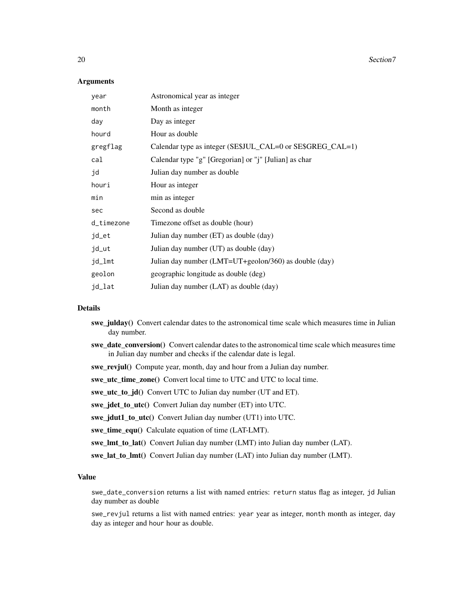20 Section7

#### **Arguments**

| year       | Astronomical year as integer                               |
|------------|------------------------------------------------------------|
| month      | Month as integer                                           |
| day        | Day as integer                                             |
| hourd      | Hour as double                                             |
| gregflag   | Calendar type as integer (SE\$JUL_CAL=0 or SE\$GREG_CAL=1) |
| cal        | Calendar type "g" [Gregorian] or "j" [Julian] as char      |
| jd         | Julian day number as double                                |
| houri      | Hour as integer                                            |
| min        | min as integer                                             |
| sec        | Second as double                                           |
| d_timezone | Timezone offset as double (hour)                           |
| jd_et      | Julian day number (ET) as double (day)                     |
| jd_ut      | Julian day number (UT) as double (day)                     |
| jd_lmt     | Julian day number (LMT=UT+geolon/360) as double (day)      |
| geolon     | geographic longitude as double (deg)                       |
| jd_lat     | Julian day number (LAT) as double (day)                    |

#### Details

- swe\_julday() Convert calendar dates to the astronomical time scale which measures time in Julian day number.
- swe\_date\_conversion() Convert calendar dates to the astronomical time scale which measures time in Julian day number and checks if the calendar date is legal.
- swe\_revjul() Compute year, month, day and hour from a Julian day number.

swe\_utc\_time\_zone() Convert local time to UTC and UTC to local time.

swe\_utc\_to\_jd() Convert UTC to Julian day number (UT and ET).

swe\_jdet\_to\_utc() Convert Julian day number (ET) into UTC.

- swe\_jdut1\_to\_utc() Convert Julian day number (UT1) into UTC.
- swe\_time\_equ() Calculate equation of time (LAT-LMT).
- swe\_lmt\_to\_lat() Convert Julian day number (LMT) into Julian day number (LAT).
- swe\_lat\_to\_lmt() Convert Julian day number (LAT) into Julian day number (LMT).

#### Value

swe\_date\_conversion returns a list with named entries: return status flag as integer, jd Julian day number as double

swe\_revjul returns a list with named entries: year year as integer, month month as integer, day day as integer and hour hour as double.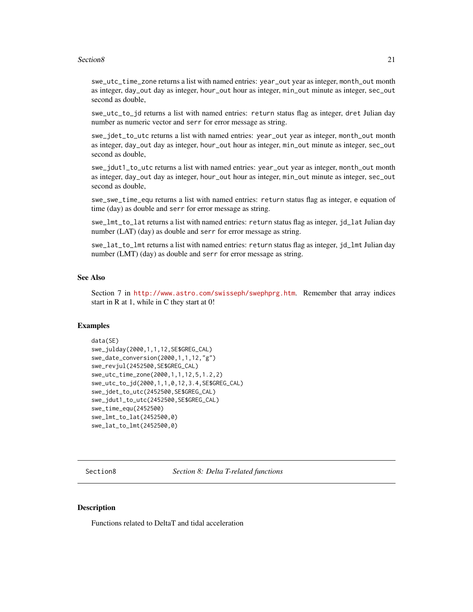#### <span id="page-20-0"></span>Section8 21

swe\_utc\_time\_zone returns a list with named entries: year\_out year as integer, month\_out month as integer, day\_out day as integer, hour\_out hour as integer, min\_out minute as integer, sec\_out second as double,

swe\_utc\_to\_jd returns a list with named entries: return status flag as integer, dret Julian day number as numeric vector and serr for error message as string.

swe\_jdet\_to\_utc returns a list with named entries: year\_out year as integer, month\_out month as integer, day\_out day as integer, hour\_out hour as integer, min\_out minute as integer, sec\_out second as double,

swe\_jdut1\_to\_utc returns a list with named entries: year\_out year as integer, month\_out month as integer, day\_out day as integer, hour\_out hour as integer, min\_out minute as integer, sec\_out second as double,

swe\_swe\_time\_equ returns a list with named entries: return status flag as integer, e equation of time (day) as double and serr for error message as string.

swe\_lmt\_to\_lat returns a list with named entries: return status flag as integer, jd\_lat Julian day number (LAT) (day) as double and serr for error message as string.

swe\_lat\_to\_lmt returns a list with named entries: return status flag as integer, jd\_lmt Julian day number (LMT) (day) as double and serr for error message as string.

#### See Also

Section 7 in <http://www.astro.com/swisseph/swephprg.htm>. Remember that array indices start in R at 1, while in C they start at 0!

#### Examples

```
data(SE)
swe_julday(2000,1,1,12,SE$GREG_CAL)
swe_date_conversion(2000,1,1,12,"g")
swe_revjul(2452500,SE$GREG_CAL)
swe_utc_time_zone(2000,1,1,12,5,1.2,2)
swe_utc_to_jd(2000,1,1,0,12,3.4,SE$GREG_CAL)
swe_jdet_to_utc(2452500,SE$GREG_CAL)
swe_jdut1_to_utc(2452500,SE$GREG_CAL)
swe_time_equ(2452500)
swe_lmt_to_lat(2452500,0)
swe_lat_to_lmt(2452500,0)
```
Section8 *Section 8: Delta T-related functions*

#### **Description**

Functions related to DeltaT and tidal acceleration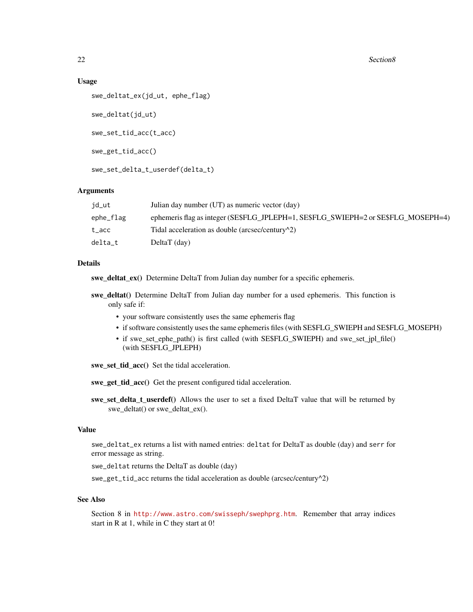22 Section8

#### Usage

```
swe_deltat_ex(jd_ut, ephe_flag)
swe_deltat(jd_ut)
swe_set_tid_acc(t_acc)
swe_get_tid_acc()
swe_set_delta_t_userdef(delta_t)
```
#### Arguments

| id_ut     | Julian day number (UT) as numeric vector (day)                                     |
|-----------|------------------------------------------------------------------------------------|
| ephe_flag | ephemeris flag as integer (SE\$FLG_JPLEPH=1, SE\$FLG_SWIEPH=2 or SE\$FLG_MOSEPH=4) |
| t acc     | Tidal acceleration as double (arcsec/century $\binom{2}{2}$ )                      |
| delta t   | $Delta T$ (day)                                                                    |

#### Details

swe\_deltat\_ex() Determine DeltaT from Julian day number for a specific ephemeris.

- swe\_deltat() Determine DeltaT from Julian day number for a used ephemeris. This function is only safe if:
	- your software consistently uses the same ephemeris flag
	- if software consistently uses the same ephemeris files (with SE\$FLG\_SWIEPH and SE\$FLG\_MOSEPH)
	- if swe\_set\_ephe\_path() is first called (with SE\$FLG\_SWIEPH) and swe\_set\_jpl\_file() (with SE\$FLG\_JPLEPH)

swe\_set\_tid\_acc() Set the tidal acceleration.

swe\_get\_tid\_acc() Get the present configured tidal acceleration.

swe\_set\_delta\_t\_userdef() Allows the user to set a fixed DeltaT value that will be returned by swe\_deltat() or swe\_deltat\_ex().

#### Value

swe\_deltat\_ex returns a list with named entries: deltat for DeltaT as double (day) and serr for error message as string.

swe\_deltat returns the DeltaT as double (day)

swe\_get\_tid\_acc returns the tidal acceleration as double (arcsec/century^2)

#### See Also

Section 8 in <http://www.astro.com/swisseph/swephprg.htm>. Remember that array indices start in R at 1, while in C they start at 0!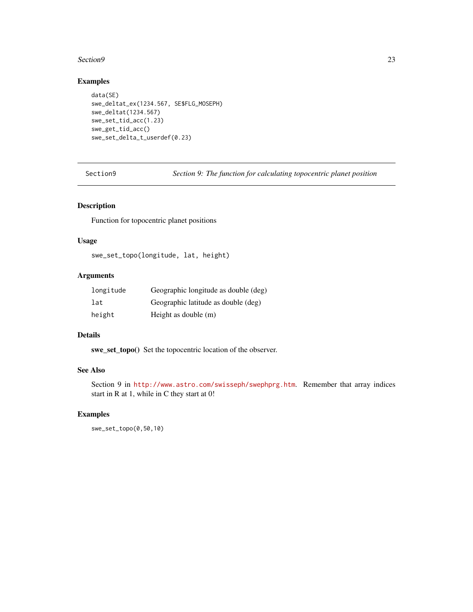#### <span id="page-22-0"></span>Section9 23

#### Examples

```
data(SE)
swe_deltat_ex(1234.567, SE$FLG_MOSEPH)
swe_deltat(1234.567)
swe_set_tid_acc(1.23)
swe_get_tid_acc()
swe_set_delta_t_userdef(0.23)
```
Section9 *Section 9: The function for calculating topocentric planet position*

#### Description

Function for topocentric planet positions

#### Usage

swe\_set\_topo(longitude, lat, height)

#### Arguments

| longitude | Geographic longitude as double (deg) |
|-----------|--------------------------------------|
| lat       | Geographic latitude as double (deg)  |
| height    | Height as double (m)                 |

#### Details

swe\_set\_topo() Set the topocentric location of the observer.

#### See Also

Section 9 in <http://www.astro.com/swisseph/swephprg.htm>. Remember that array indices start in R at 1, while in C they start at 0!

#### Examples

swe\_set\_topo(0,50,10)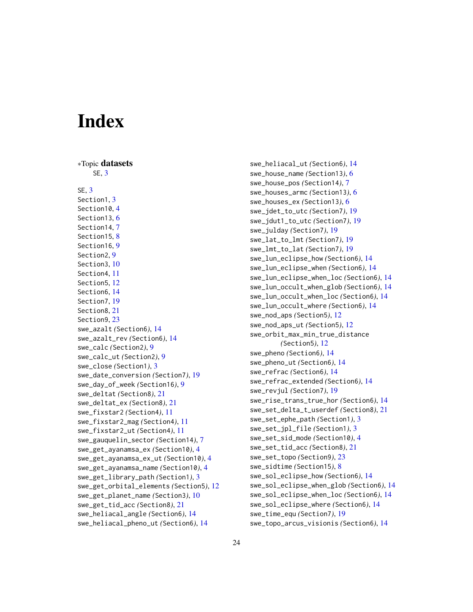# <span id="page-23-0"></span>Index

∗Topic datasets SE, [3](#page-2-0) SE, [3](#page-2-0) Section1, [3](#page-2-0) Section10, [4](#page-3-0) Section<sub>13</sub>, [6](#page-5-0) Section14, [7](#page-6-0) Section15, [8](#page-7-0) Section16, [9](#page-8-0) Section2, [9](#page-8-0) Section3, [10](#page-9-0) Section4, [11](#page-10-0) Section5, [12](#page-11-0) Section6, [14](#page-13-0) Section7, [19](#page-18-0) Section8, [21](#page-20-0) Section9, [23](#page-22-0) swe\_azalt *(*Section6*)*, [14](#page-13-0) swe\_azalt\_rev *(*Section6*)*, [14](#page-13-0) swe\_calc *(*Section2*)*, [9](#page-8-0) swe\_calc\_ut *(*Section2*)*, [9](#page-8-0) swe\_close *(*Section1*)*, [3](#page-2-0) swe\_date\_conversion *(*Section7*)*, [19](#page-18-0) swe\_day\_of\_week *(*Section16*)*, [9](#page-8-0) swe\_deltat *(*Section8*)*, [21](#page-20-0) swe\_deltat\_ex *(*Section8*)*, [21](#page-20-0) swe\_fixstar2 *(*Section4*)*, [11](#page-10-0) swe\_fixstar2\_mag *(*Section4*)*, [11](#page-10-0) swe\_fixstar2\_ut *(*Section4*)*, [11](#page-10-0) swe\_gauquelin\_sector *(*Section14*)*, [7](#page-6-0) swe\_get\_ayanamsa\_ex *(*Section10*)*, [4](#page-3-0) swe\_get\_ayanamsa\_ex\_ut *(*Section10*)*, [4](#page-3-0) swe\_get\_ayanamsa\_name *(*Section10*)*, [4](#page-3-0) swe\_get\_library\_path *(*Section1*)*, [3](#page-2-0) swe\_get\_orbital\_elements *(*Section5*)*, [12](#page-11-0) swe\_get\_planet\_name *(*Section3*)*, [10](#page-9-0) swe\_get\_tid\_acc *(*Section8*)*, [21](#page-20-0) swe\_heliacal\_angle *(*Section6*)*, [14](#page-13-0) swe\_heliacal\_pheno\_ut *(*Section6*)*, [14](#page-13-0)

swe\_heliacal\_ut *(*Section6*)*, [14](#page-13-0) swe\_house\_name *(*Section13*)*, [6](#page-5-0) swe\_house\_pos *(*Section14*)*, [7](#page-6-0) swe\_houses\_armc *(*Section13*)*, [6](#page-5-0) swe\_houses\_ex *(*Section13*)*, [6](#page-5-0) swe\_jdet\_to\_utc *(*Section7*)*, [19](#page-18-0) swe\_jdut1\_to\_utc *(*Section7*)*, [19](#page-18-0) swe\_julday *(*Section7*)*, [19](#page-18-0) swe\_lat\_to\_lmt *(*Section7*)*, [19](#page-18-0) swe\_lmt\_to\_lat *(*Section7*)*, [19](#page-18-0) swe\_lun\_eclipse\_how *(*Section6*)*, [14](#page-13-0) swe\_lun\_eclipse\_when *(*Section6*)*, [14](#page-13-0) swe\_lun\_eclipse\_when\_loc *(*Section6*)*, [14](#page-13-0) swe\_lun\_occult\_when\_glob *(*Section6*)*, [14](#page-13-0) swe\_lun\_occult\_when\_loc *(*Section6*)*, [14](#page-13-0) swe\_lun\_occult\_where *(*Section6*)*, [14](#page-13-0) swe\_nod\_aps *(*Section5*)*, [12](#page-11-0) swe\_nod\_aps\_ut *(*Section5*)*, [12](#page-11-0) swe\_orbit\_max\_min\_true\_distance *(*Section5*)*, [12](#page-11-0) swe\_pheno *(*Section6*)*, [14](#page-13-0) swe\_pheno\_ut *(*Section6*)*, [14](#page-13-0) swe\_refrac *(*Section6*)*, [14](#page-13-0) swe\_refrac\_extended *(*Section6*)*, [14](#page-13-0) swe\_revjul *(*Section7*)*, [19](#page-18-0) swe\_rise\_trans\_true\_hor *(*Section6*)*, [14](#page-13-0) swe\_set\_delta\_t\_userdef *(*Section8*)*, [21](#page-20-0) swe\_set\_ephe\_path *(*Section1*)*, [3](#page-2-0) swe\_set\_jpl\_file *(*Section1*)*, [3](#page-2-0) swe\_set\_sid\_mode *(*Section10*)*, [4](#page-3-0) swe\_set\_tid\_acc *(*Section8*)*, [21](#page-20-0) swe\_set\_topo *(*Section9*)*, [23](#page-22-0) swe\_sidtime *(*Section15*)*, [8](#page-7-0) swe\_sol\_eclipse\_how *(*Section6*)*, [14](#page-13-0) swe\_sol\_eclipse\_when\_glob *(*Section6*)*, [14](#page-13-0) swe\_sol\_eclipse\_when\_loc *(*Section6*)*, [14](#page-13-0) swe\_sol\_eclipse\_where *(*Section6*)*, [14](#page-13-0) swe\_time\_equ *(*Section7*)*, [19](#page-18-0) swe\_topo\_arcus\_visionis *(*Section6*)*, [14](#page-13-0)